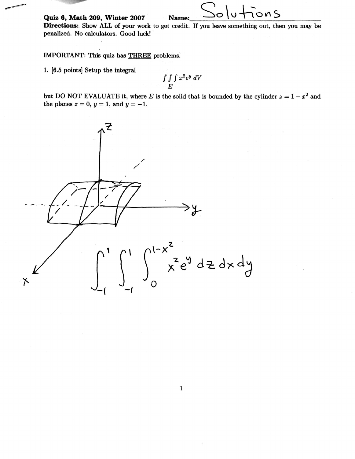Quiz 6, Math 209, Winter 2007

Directions: Show ALL of your work to get credit. If you leave something out, then you may be penalized. No calculators. Good luck!

Name:

ons

IMPORTANT: This quiz has THREE problems.

1. [6.5 points] Setup the integral

$$
\int\int\int x^2 e^y\ dV
$$

but DO NOT EVALUATE it, where E is the solid that is bounded by the cylinder  $z = 1 - x^2$  and the planes  $z = 0$ ,  $y = 1$ , and  $y = -1$ .

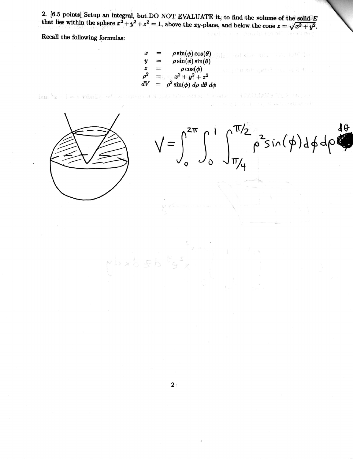2. [6.5 points] Setup an integral, but DO NOT EVALUATE it, to find the volume of the solid E that lies within the sphere  $x^2 + y^2 + z^2 = 1$ , above the xy-plane, and below the cone  $z = \sqrt{x^2 + y^2}$ .

Recall the following formulas:

 $\rho \sin(\phi) \cos(\theta)$ Hile : and share and , . The Latt The  $\rho \sin(\phi) \sin(\theta)$  $\pmb{y}$  $\frac{z}{\rho^2}$ <br>dV  $\rho \cos(\phi)$ <br>  $x^2 + y^2 + z^2$ <br>  $\rho^2 \sin(\phi) d\rho d\theta d\phi$ 

REALIAVE TO 2001 LA  $\lambda_3 = 1 = 8$  tobally, when the limit of bas



计路径 化二间管理

as the service of

 $P$  $b \times b \in b$   $l$